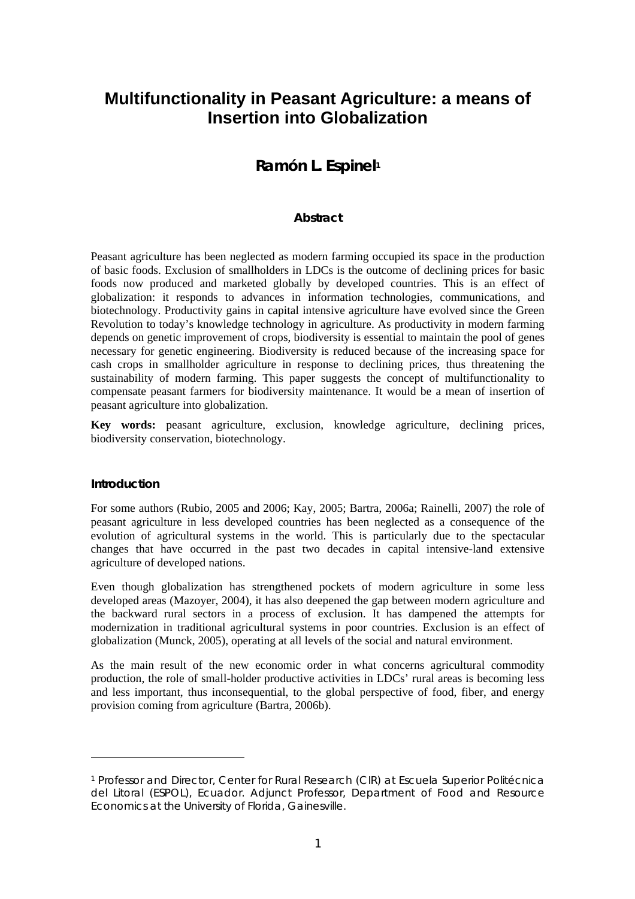# **Multifunctionality in Peasant Agriculture: a means of Insertion into Globalization**

# **Ramón L. Espinel1**

## **Abstract**

Peasant agriculture has been neglected as modern farming occupied its space in the production of basic foods. Exclusion of smallholders in LDCs is the outcome of declining prices for basic foods now produced and marketed globally by developed countries. This is an effect of globalization: it responds to advances in information technologies, communications, and biotechnology. Productivity gains in capital intensive agriculture have evolved since the Green Revolution to today's knowledge technology in agriculture. As productivity in modern farming depends on genetic improvement of crops, biodiversity is essential to maintain the pool of genes necessary for genetic engineering. Biodiversity is reduced because of the increasing space for cash crops in smallholder agriculture in response to declining prices, thus threatening the sustainability of modern farming. This paper suggests the concept of multifunctionality to compensate peasant farmers for biodiversity maintenance. It would be a mean of insertion of peasant agriculture into globalization.

**Key words:** peasant agriculture, exclusion, knowledge agriculture, declining prices, biodiversity conservation, biotechnology.

#### **Introduction**

 $\overline{a}$ 

For some authors (Rubio, 2005 and 2006; Kay, 2005; Bartra, 2006a; Rainelli, 2007) the role of peasant agriculture in less developed countries has been neglected as a consequence of the evolution of agricultural systems in the world. This is particularly due to the spectacular changes that have occurred in the past two decades in capital intensive-land extensive agriculture of developed nations.

Even though globalization has strengthened pockets of modern agriculture in some less developed areas (Mazoyer, 2004), it has also deepened the gap between modern agriculture and the backward rural sectors in a process of exclusion. It has dampened the attempts for modernization in traditional agricultural systems in poor countries. Exclusion is an effect of globalization (Munck, 2005), operating at all levels of the social and natural environment.

As the main result of the new economic order in what concerns agricultural commodity production, the role of small-holder productive activities in LDCs' rural areas is becoming less and less important, thus inconsequential, to the global perspective of food, fiber, and energy provision coming from agriculture (Bartra, 2006b).

<sup>1</sup> Professor and Director, Center for Rural Research (CIR) at Escuela Superior Politécnica del Litoral (ESPOL), Ecuador. Adjunct Professor, Department of Food and Resource Economics at the University of Florida, Gainesville.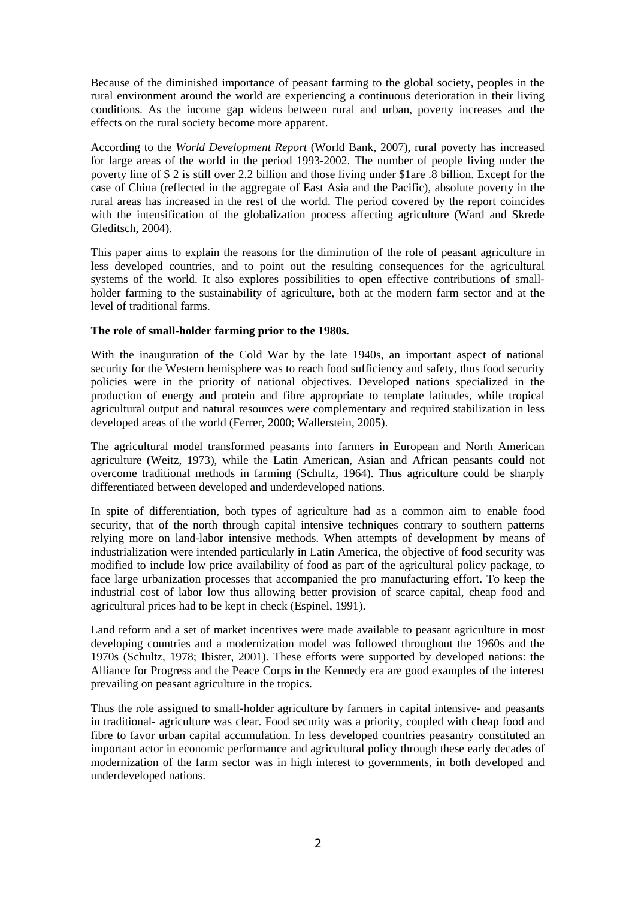Because of the diminished importance of peasant farming to the global society, peoples in the rural environment around the world are experiencing a continuous deterioration in their living conditions. As the income gap widens between rural and urban, poverty increases and the effects on the rural society become more apparent.

According to the *World Development Report* (World Bank, 2007), rural poverty has increased for large areas of the world in the period 1993-2002. The number of people living under the poverty line of \$ 2 is still over 2.2 billion and those living under \$1are .8 billion. Except for the case of China (reflected in the aggregate of East Asia and the Pacific), absolute poverty in the rural areas has increased in the rest of the world. The period covered by the report coincides with the intensification of the globalization process affecting agriculture (Ward and Skrede Gleditsch, 2004).

This paper aims to explain the reasons for the diminution of the role of peasant agriculture in less developed countries, and to point out the resulting consequences for the agricultural systems of the world. It also explores possibilities to open effective contributions of smallholder farming to the sustainability of agriculture, both at the modern farm sector and at the level of traditional farms.

### **The role of small-holder farming prior to the 1980s.**

With the inauguration of the Cold War by the late 1940s, an important aspect of national security for the Western hemisphere was to reach food sufficiency and safety, thus food security policies were in the priority of national objectives. Developed nations specialized in the production of energy and protein and fibre appropriate to template latitudes, while tropical agricultural output and natural resources were complementary and required stabilization in less developed areas of the world (Ferrer, 2000; Wallerstein, 2005).

The agricultural model transformed peasants into farmers in European and North American agriculture (Weitz, 1973), while the Latin American, Asian and African peasants could not overcome traditional methods in farming (Schultz, 1964). Thus agriculture could be sharply differentiated between developed and underdeveloped nations.

In spite of differentiation, both types of agriculture had as a common aim to enable food security, that of the north through capital intensive techniques contrary to southern patterns relying more on land-labor intensive methods. When attempts of development by means of industrialization were intended particularly in Latin America, the objective of food security was modified to include low price availability of food as part of the agricultural policy package, to face large urbanization processes that accompanied the pro manufacturing effort. To keep the industrial cost of labor low thus allowing better provision of scarce capital, cheap food and agricultural prices had to be kept in check (Espinel, 1991).

Land reform and a set of market incentives were made available to peasant agriculture in most developing countries and a modernization model was followed throughout the 1960s and the 1970s (Schultz, 1978; Ibister, 2001). These efforts were supported by developed nations: the Alliance for Progress and the Peace Corps in the Kennedy era are good examples of the interest prevailing on peasant agriculture in the tropics.

Thus the role assigned to small-holder agriculture by farmers in capital intensive- and peasants in traditional- agriculture was clear. Food security was a priority, coupled with cheap food and fibre to favor urban capital accumulation. In less developed countries peasantry constituted an important actor in economic performance and agricultural policy through these early decades of modernization of the farm sector was in high interest to governments, in both developed and underdeveloped nations.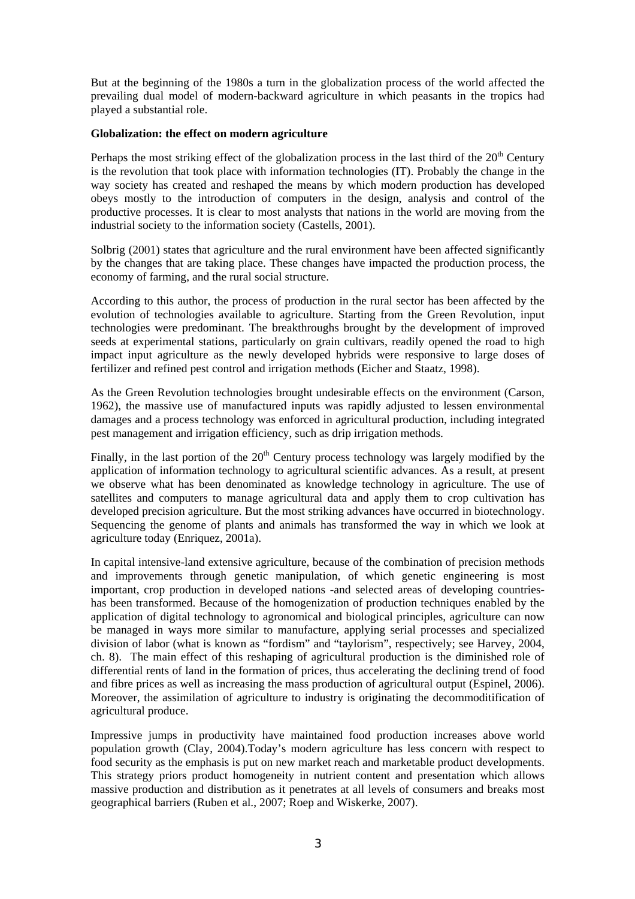But at the beginning of the 1980s a turn in the globalization process of the world affected the prevailing dual model of modern-backward agriculture in which peasants in the tropics had played a substantial role.

#### **Globalization: the effect on modern agriculture**

Perhaps the most striking effect of the globalization process in the last third of the  $20<sup>th</sup>$  Century is the revolution that took place with information technologies (IT). Probably the change in the way society has created and reshaped the means by which modern production has developed obeys mostly to the introduction of computers in the design, analysis and control of the productive processes. It is clear to most analysts that nations in the world are moving from the industrial society to the information society (Castells, 2001).

Solbrig (2001) states that agriculture and the rural environment have been affected significantly by the changes that are taking place. These changes have impacted the production process, the economy of farming, and the rural social structure.

According to this author, the process of production in the rural sector has been affected by the evolution of technologies available to agriculture. Starting from the Green Revolution, input technologies were predominant. The breakthroughs brought by the development of improved seeds at experimental stations, particularly on grain cultivars, readily opened the road to high impact input agriculture as the newly developed hybrids were responsive to large doses of fertilizer and refined pest control and irrigation methods (Eicher and Staatz, 1998).

As the Green Revolution technologies brought undesirable effects on the environment (Carson, 1962), the massive use of manufactured inputs was rapidly adjusted to lessen environmental damages and a process technology was enforced in agricultural production, including integrated pest management and irrigation efficiency, such as drip irrigation methods.

Finally, in the last portion of the  $20<sup>th</sup>$  Century process technology was largely modified by the application of information technology to agricultural scientific advances. As a result, at present we observe what has been denominated as knowledge technology in agriculture. The use of satellites and computers to manage agricultural data and apply them to crop cultivation has developed precision agriculture. But the most striking advances have occurred in biotechnology. Sequencing the genome of plants and animals has transformed the way in which we look at agriculture today (Enriquez, 2001a).

In capital intensive-land extensive agriculture, because of the combination of precision methods and improvements through genetic manipulation, of which genetic engineering is most important, crop production in developed nations -and selected areas of developing countrieshas been transformed. Because of the homogenization of production techniques enabled by the application of digital technology to agronomical and biological principles, agriculture can now be managed in ways more similar to manufacture, applying serial processes and specialized division of labor (what is known as "fordism" and "taylorism", respectively; see Harvey, 2004, ch. 8). The main effect of this reshaping of agricultural production is the diminished role of differential rents of land in the formation of prices, thus accelerating the declining trend of food and fibre prices as well as increasing the mass production of agricultural output (Espinel, 2006). Moreover, the assimilation of agriculture to industry is originating the decommoditification of agricultural produce.

Impressive jumps in productivity have maintained food production increases above world population growth (Clay, 2004).Today's modern agriculture has less concern with respect to food security as the emphasis is put on new market reach and marketable product developments. This strategy priors product homogeneity in nutrient content and presentation which allows massive production and distribution as it penetrates at all levels of consumers and breaks most geographical barriers (Ruben et al., 2007; Roep and Wiskerke, 2007).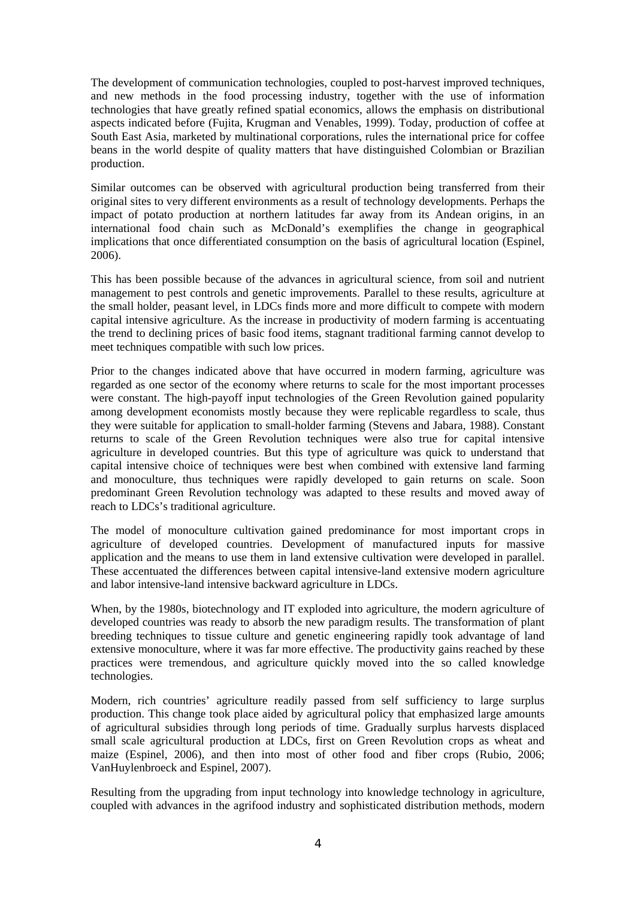The development of communication technologies, coupled to post-harvest improved techniques, and new methods in the food processing industry, together with the use of information technologies that have greatly refined spatial economics, allows the emphasis on distributional aspects indicated before (Fujita, Krugman and Venables, 1999). Today, production of coffee at South East Asia, marketed by multinational corporations, rules the international price for coffee beans in the world despite of quality matters that have distinguished Colombian or Brazilian production.

Similar outcomes can be observed with agricultural production being transferred from their original sites to very different environments as a result of technology developments. Perhaps the impact of potato production at northern latitudes far away from its Andean origins, in an international food chain such as McDonald's exemplifies the change in geographical implications that once differentiated consumption on the basis of agricultural location (Espinel, 2006).

This has been possible because of the advances in agricultural science, from soil and nutrient management to pest controls and genetic improvements. Parallel to these results, agriculture at the small holder, peasant level, in LDCs finds more and more difficult to compete with modern capital intensive agriculture. As the increase in productivity of modern farming is accentuating the trend to declining prices of basic food items, stagnant traditional farming cannot develop to meet techniques compatible with such low prices.

Prior to the changes indicated above that have occurred in modern farming, agriculture was regarded as one sector of the economy where returns to scale for the most important processes were constant. The high-payoff input technologies of the Green Revolution gained popularity among development economists mostly because they were replicable regardless to scale, thus they were suitable for application to small-holder farming (Stevens and Jabara, 1988). Constant returns to scale of the Green Revolution techniques were also true for capital intensive agriculture in developed countries. But this type of agriculture was quick to understand that capital intensive choice of techniques were best when combined with extensive land farming and monoculture, thus techniques were rapidly developed to gain returns on scale. Soon predominant Green Revolution technology was adapted to these results and moved away of reach to LDCs's traditional agriculture.

The model of monoculture cultivation gained predominance for most important crops in agriculture of developed countries. Development of manufactured inputs for massive application and the means to use them in land extensive cultivation were developed in parallel. These accentuated the differences between capital intensive-land extensive modern agriculture and labor intensive-land intensive backward agriculture in LDCs.

When, by the 1980s, biotechnology and IT exploded into agriculture, the modern agriculture of developed countries was ready to absorb the new paradigm results. The transformation of plant breeding techniques to tissue culture and genetic engineering rapidly took advantage of land extensive monoculture, where it was far more effective. The productivity gains reached by these practices were tremendous, and agriculture quickly moved into the so called knowledge technologies.

Modern, rich countries' agriculture readily passed from self sufficiency to large surplus production. This change took place aided by agricultural policy that emphasized large amounts of agricultural subsidies through long periods of time. Gradually surplus harvests displaced small scale agricultural production at LDCs, first on Green Revolution crops as wheat and maize (Espinel, 2006), and then into most of other food and fiber crops (Rubio, 2006; VanHuylenbroeck and Espinel, 2007).

Resulting from the upgrading from input technology into knowledge technology in agriculture, coupled with advances in the agrifood industry and sophisticated distribution methods, modern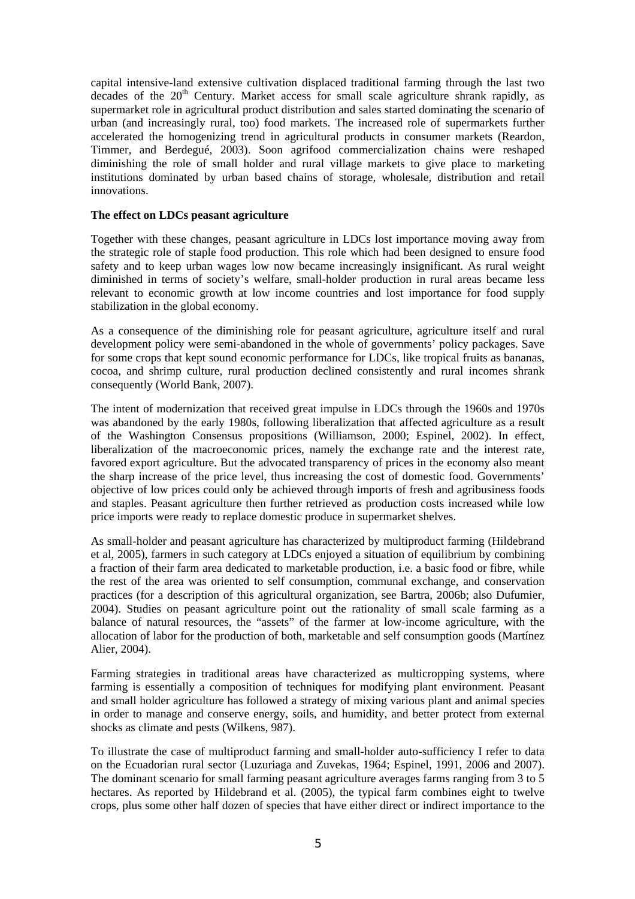capital intensive-land extensive cultivation displaced traditional farming through the last two decades of the  $20<sup>th</sup>$  Century. Market access for small scale agriculture shrank rapidly, as supermarket role in agricultural product distribution and sales started dominating the scenario of urban (and increasingly rural, too) food markets. The increased role of supermarkets further accelerated the homogenizing trend in agricultural products in consumer markets (Reardon, Timmer, and Berdegué, 2003). Soon agrifood commercialization chains were reshaped diminishing the role of small holder and rural village markets to give place to marketing institutions dominated by urban based chains of storage, wholesale, distribution and retail innovations.

#### **The effect on LDCs peasant agriculture**

Together with these changes, peasant agriculture in LDCs lost importance moving away from the strategic role of staple food production. This role which had been designed to ensure food safety and to keep urban wages low now became increasingly insignificant. As rural weight diminished in terms of society's welfare, small-holder production in rural areas became less relevant to economic growth at low income countries and lost importance for food supply stabilization in the global economy.

As a consequence of the diminishing role for peasant agriculture, agriculture itself and rural development policy were semi-abandoned in the whole of governments' policy packages. Save for some crops that kept sound economic performance for LDCs, like tropical fruits as bananas, cocoa, and shrimp culture, rural production declined consistently and rural incomes shrank consequently (World Bank, 2007).

The intent of modernization that received great impulse in LDCs through the 1960s and 1970s was abandoned by the early 1980s, following liberalization that affected agriculture as a result of the Washington Consensus propositions (Williamson, 2000; Espinel, 2002). In effect, liberalization of the macroeconomic prices, namely the exchange rate and the interest rate, favored export agriculture. But the advocated transparency of prices in the economy also meant the sharp increase of the price level, thus increasing the cost of domestic food. Governments' objective of low prices could only be achieved through imports of fresh and agribusiness foods and staples. Peasant agriculture then further retrieved as production costs increased while low price imports were ready to replace domestic produce in supermarket shelves.

As small-holder and peasant agriculture has characterized by multiproduct farming (Hildebrand et al, 2005), farmers in such category at LDCs enjoyed a situation of equilibrium by combining a fraction of their farm area dedicated to marketable production, i.e. a basic food or fibre, while the rest of the area was oriented to self consumption, communal exchange, and conservation practices (for a description of this agricultural organization, see Bartra, 2006b; also Dufumier, 2004). Studies on peasant agriculture point out the rationality of small scale farming as a balance of natural resources, the "assets" of the farmer at low-income agriculture, with the allocation of labor for the production of both, marketable and self consumption goods (Martínez Alier, 2004).

Farming strategies in traditional areas have characterized as multicropping systems, where farming is essentially a composition of techniques for modifying plant environment. Peasant and small holder agriculture has followed a strategy of mixing various plant and animal species in order to manage and conserve energy, soils, and humidity, and better protect from external shocks as climate and pests (Wilkens, 987).

To illustrate the case of multiproduct farming and small-holder auto-sufficiency I refer to data on the Ecuadorian rural sector (Luzuriaga and Zuvekas, 1964; Espinel, 1991, 2006 and 2007). The dominant scenario for small farming peasant agriculture averages farms ranging from 3 to 5 hectares. As reported by Hildebrand et al. (2005), the typical farm combines eight to twelve crops, plus some other half dozen of species that have either direct or indirect importance to the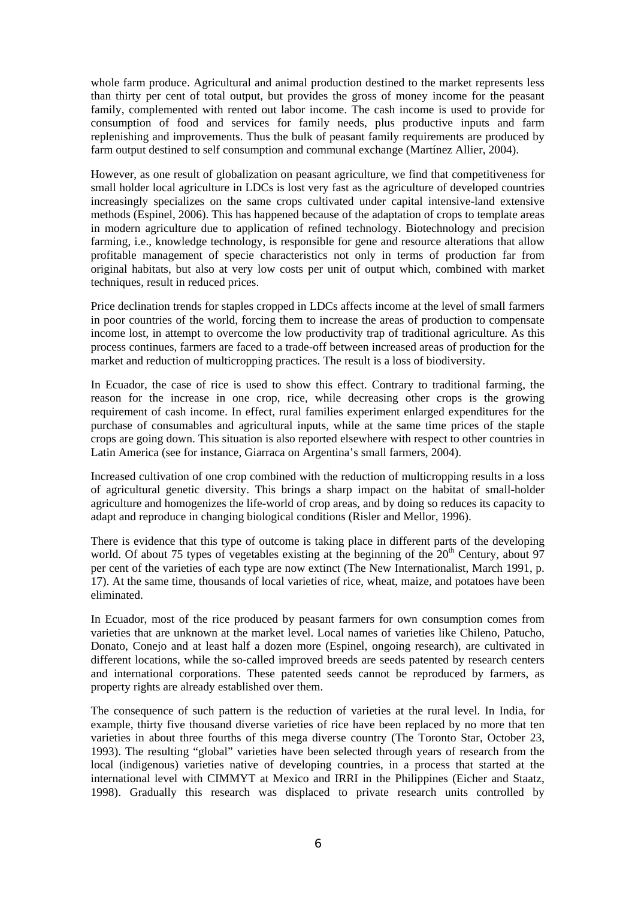whole farm produce. Agricultural and animal production destined to the market represents less than thirty per cent of total output, but provides the gross of money income for the peasant family, complemented with rented out labor income. The cash income is used to provide for consumption of food and services for family needs, plus productive inputs and farm replenishing and improvements. Thus the bulk of peasant family requirements are produced by farm output destined to self consumption and communal exchange (Martínez Allier, 2004).

However, as one result of globalization on peasant agriculture, we find that competitiveness for small holder local agriculture in LDCs is lost very fast as the agriculture of developed countries increasingly specializes on the same crops cultivated under capital intensive-land extensive methods (Espinel, 2006). This has happened because of the adaptation of crops to template areas in modern agriculture due to application of refined technology. Biotechnology and precision farming, i.e., knowledge technology, is responsible for gene and resource alterations that allow profitable management of specie characteristics not only in terms of production far from original habitats, but also at very low costs per unit of output which, combined with market techniques, result in reduced prices.

Price declination trends for staples cropped in LDCs affects income at the level of small farmers in poor countries of the world, forcing them to increase the areas of production to compensate income lost, in attempt to overcome the low productivity trap of traditional agriculture. As this process continues, farmers are faced to a trade-off between increased areas of production for the market and reduction of multicropping practices. The result is a loss of biodiversity.

In Ecuador, the case of rice is used to show this effect. Contrary to traditional farming, the reason for the increase in one crop, rice, while decreasing other crops is the growing requirement of cash income. In effect, rural families experiment enlarged expenditures for the purchase of consumables and agricultural inputs, while at the same time prices of the staple crops are going down. This situation is also reported elsewhere with respect to other countries in Latin America (see for instance, Giarraca on Argentina's small farmers, 2004).

Increased cultivation of one crop combined with the reduction of multicropping results in a loss of agricultural genetic diversity. This brings a sharp impact on the habitat of small-holder agriculture and homogenizes the life-world of crop areas, and by doing so reduces its capacity to adapt and reproduce in changing biological conditions (Risler and Mellor, 1996).

There is evidence that this type of outcome is taking place in different parts of the developing world. Of about 75 types of vegetables existing at the beginning of the  $20<sup>th</sup>$  Century, about 97 per cent of the varieties of each type are now extinct (The New Internationalist, March 1991, p. 17). At the same time, thousands of local varieties of rice, wheat, maize, and potatoes have been eliminated.

In Ecuador, most of the rice produced by peasant farmers for own consumption comes from varieties that are unknown at the market level. Local names of varieties like Chileno, Patucho, Donato, Conejo and at least half a dozen more (Espinel, ongoing research), are cultivated in different locations, while the so-called improved breeds are seeds patented by research centers and international corporations. These patented seeds cannot be reproduced by farmers, as property rights are already established over them.

The consequence of such pattern is the reduction of varieties at the rural level. In India, for example, thirty five thousand diverse varieties of rice have been replaced by no more that ten varieties in about three fourths of this mega diverse country (The Toronto Star, October 23, 1993). The resulting "global" varieties have been selected through years of research from the local (indigenous) varieties native of developing countries, in a process that started at the international level with CIMMYT at Mexico and IRRI in the Philippines (Eicher and Staatz, 1998). Gradually this research was displaced to private research units controlled by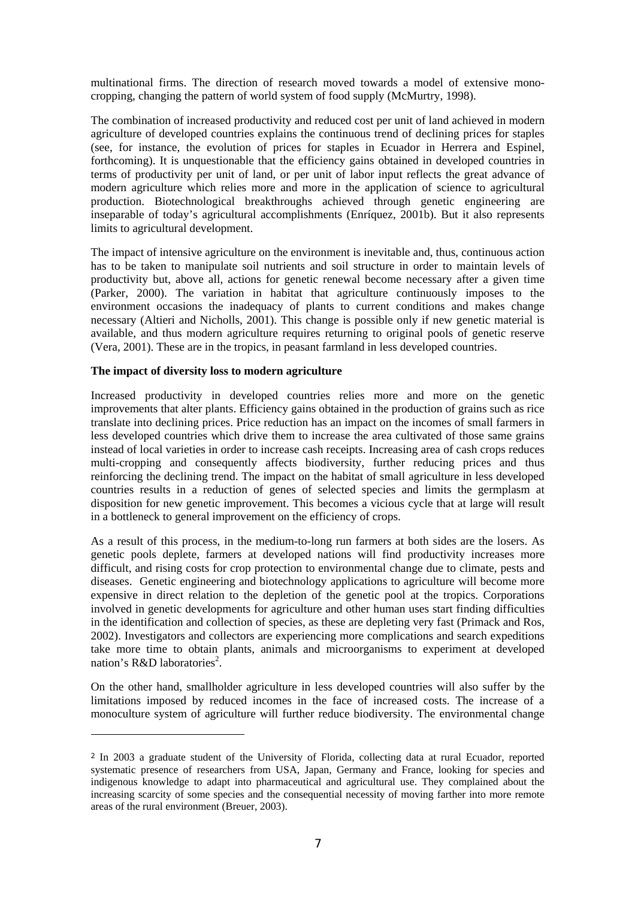multinational firms. The direction of research moved towards a model of extensive monocropping, changing the pattern of world system of food supply (McMurtry, 1998).

The combination of increased productivity and reduced cost per unit of land achieved in modern agriculture of developed countries explains the continuous trend of declining prices for staples (see, for instance, the evolution of prices for staples in Ecuador in Herrera and Espinel, forthcoming). It is unquestionable that the efficiency gains obtained in developed countries in terms of productivity per unit of land, or per unit of labor input reflects the great advance of modern agriculture which relies more and more in the application of science to agricultural production. Biotechnological breakthroughs achieved through genetic engineering are inseparable of today's agricultural accomplishments (Enríquez, 2001b). But it also represents limits to agricultural development.

The impact of intensive agriculture on the environment is inevitable and, thus, continuous action has to be taken to manipulate soil nutrients and soil structure in order to maintain levels of productivity but, above all, actions for genetic renewal become necessary after a given time (Parker, 2000). The variation in habitat that agriculture continuously imposes to the environment occasions the inadequacy of plants to current conditions and makes change necessary (Altieri and Nicholls, 2001). This change is possible only if new genetic material is available, and thus modern agriculture requires returning to original pools of genetic reserve (Vera, 2001). These are in the tropics, in peasant farmland in less developed countries.

#### **The impact of diversity loss to modern agriculture**

 $\overline{a}$ 

Increased productivity in developed countries relies more and more on the genetic improvements that alter plants. Efficiency gains obtained in the production of grains such as rice translate into declining prices. Price reduction has an impact on the incomes of small farmers in less developed countries which drive them to increase the area cultivated of those same grains instead of local varieties in order to increase cash receipts. Increasing area of cash crops reduces multi-cropping and consequently affects biodiversity, further reducing prices and thus reinforcing the declining trend. The impact on the habitat of small agriculture in less developed countries results in a reduction of genes of selected species and limits the germplasm at disposition for new genetic improvement. This becomes a vicious cycle that at large will result in a bottleneck to general improvement on the efficiency of crops.

As a result of this process, in the medium-to-long run farmers at both sides are the losers. As genetic pools deplete, farmers at developed nations will find productivity increases more difficult, and rising costs for crop protection to environmental change due to climate, pests and diseases. Genetic engineering and biotechnology applications to agriculture will become more expensive in direct relation to the depletion of the genetic pool at the tropics. Corporations involved in genetic developments for agriculture and other human uses start finding difficulties in the identification and collection of species, as these are depleting very fast (Primack and Ros, 2002). Investigators and collectors are experiencing more complications and search expeditions take more time to obtain plants, animals and microorganisms to experiment at developed nation's R&D laboratories<sup>2</sup>.

On the other hand, smallholder agriculture in less developed countries will also suffer by the limitations imposed by reduced incomes in the face of increased costs. The increase of a monoculture system of agriculture will further reduce biodiversity. The environmental change

<sup>2</sup> In 2003 a graduate student of the University of Florida, collecting data at rural Ecuador, reported systematic presence of researchers from USA, Japan, Germany and France, looking for species and indigenous knowledge to adapt into pharmaceutical and agricultural use. They complained about the increasing scarcity of some species and the consequential necessity of moving farther into more remote areas of the rural environment (Breuer, 2003).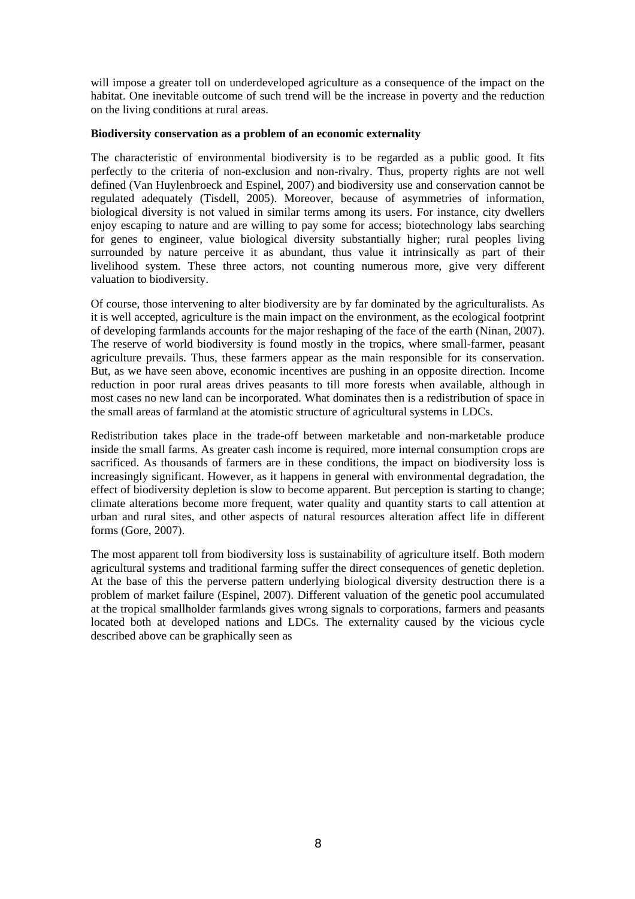will impose a greater toll on underdeveloped agriculture as a consequence of the impact on the habitat. One inevitable outcome of such trend will be the increase in poverty and the reduction on the living conditions at rural areas.

#### **Biodiversity conservation as a problem of an economic externality**

The characteristic of environmental biodiversity is to be regarded as a public good. It fits perfectly to the criteria of non-exclusion and non-rivalry. Thus, property rights are not well defined (Van Huylenbroeck and Espinel, 2007) and biodiversity use and conservation cannot be regulated adequately (Tisdell, 2005). Moreover, because of asymmetries of information, biological diversity is not valued in similar terms among its users. For instance, city dwellers enjoy escaping to nature and are willing to pay some for access; biotechnology labs searching for genes to engineer, value biological diversity substantially higher; rural peoples living surrounded by nature perceive it as abundant, thus value it intrinsically as part of their livelihood system. These three actors, not counting numerous more, give very different valuation to biodiversity.

Of course, those intervening to alter biodiversity are by far dominated by the agriculturalists. As it is well accepted, agriculture is the main impact on the environment, as the ecological footprint of developing farmlands accounts for the major reshaping of the face of the earth (Ninan, 2007). The reserve of world biodiversity is found mostly in the tropics, where small-farmer, peasant agriculture prevails. Thus, these farmers appear as the main responsible for its conservation. But, as we have seen above, economic incentives are pushing in an opposite direction. Income reduction in poor rural areas drives peasants to till more forests when available, although in most cases no new land can be incorporated. What dominates then is a redistribution of space in the small areas of farmland at the atomistic structure of agricultural systems in LDCs.

Redistribution takes place in the trade-off between marketable and non-marketable produce inside the small farms. As greater cash income is required, more internal consumption crops are sacrificed. As thousands of farmers are in these conditions, the impact on biodiversity loss is increasingly significant. However, as it happens in general with environmental degradation, the effect of biodiversity depletion is slow to become apparent. But perception is starting to change; climate alterations become more frequent, water quality and quantity starts to call attention at urban and rural sites, and other aspects of natural resources alteration affect life in different forms (Gore, 2007).

The most apparent toll from biodiversity loss is sustainability of agriculture itself. Both modern agricultural systems and traditional farming suffer the direct consequences of genetic depletion. At the base of this the perverse pattern underlying biological diversity destruction there is a problem of market failure (Espinel, 2007). Different valuation of the genetic pool accumulated at the tropical smallholder farmlands gives wrong signals to corporations, farmers and peasants located both at developed nations and LDCs. The externality caused by the vicious cycle described above can be graphically seen as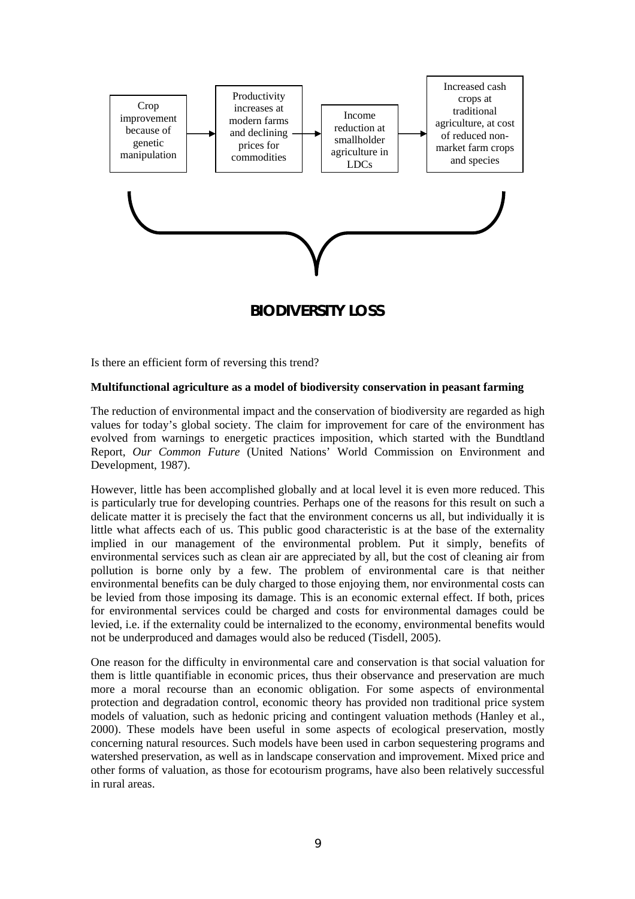

**BIODIVERSITY LOSS** 

Is there an efficient form of reversing this trend?

#### **Multifunctional agriculture as a model of biodiversity conservation in peasant farming**

The reduction of environmental impact and the conservation of biodiversity are regarded as high values for today's global society. The claim for improvement for care of the environment has evolved from warnings to energetic practices imposition, which started with the Bundtland Report, *Our Common Future* (United Nations' World Commission on Environment and Development, 1987).

However, little has been accomplished globally and at local level it is even more reduced. This is particularly true for developing countries. Perhaps one of the reasons for this result on such a delicate matter it is precisely the fact that the environment concerns us all, but individually it is little what affects each of us. This public good characteristic is at the base of the externality implied in our management of the environmental problem. Put it simply, benefits of environmental services such as clean air are appreciated by all, but the cost of cleaning air from pollution is borne only by a few. The problem of environmental care is that neither environmental benefits can be duly charged to those enjoying them, nor environmental costs can be levied from those imposing its damage. This is an economic external effect. If both, prices for environmental services could be charged and costs for environmental damages could be levied, i.e. if the externality could be internalized to the economy, environmental benefits would not be underproduced and damages would also be reduced (Tisdell, 2005).

One reason for the difficulty in environmental care and conservation is that social valuation for them is little quantifiable in economic prices, thus their observance and preservation are much more a moral recourse than an economic obligation. For some aspects of environmental protection and degradation control, economic theory has provided non traditional price system models of valuation, such as hedonic pricing and contingent valuation methods (Hanley et al., 2000). These models have been useful in some aspects of ecological preservation, mostly concerning natural resources. Such models have been used in carbon sequestering programs and watershed preservation, as well as in landscape conservation and improvement. Mixed price and other forms of valuation, as those for ecotourism programs, have also been relatively successful in rural areas.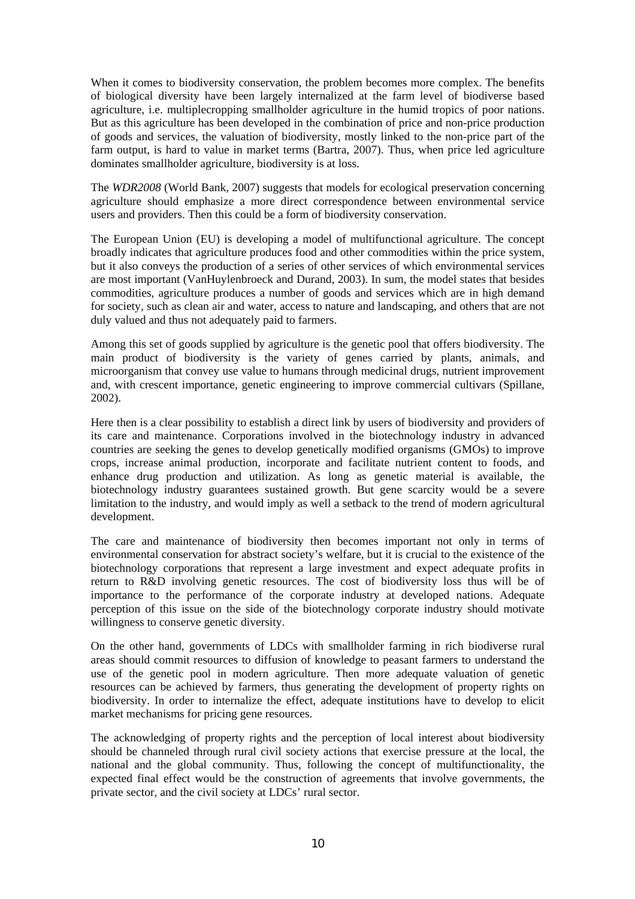When it comes to biodiversity conservation, the problem becomes more complex. The benefits of biological diversity have been largely internalized at the farm level of biodiverse based agriculture, i.e. multiplecropping smallholder agriculture in the humid tropics of poor nations. But as this agriculture has been developed in the combination of price and non-price production of goods and services, the valuation of biodiversity, mostly linked to the non-price part of the farm output, is hard to value in market terms (Bartra, 2007). Thus, when price led agriculture dominates smallholder agriculture, biodiversity is at loss.

The *WDR2008* (World Bank, 2007) suggests that models for ecological preservation concerning agriculture should emphasize a more direct correspondence between environmental service users and providers. Then this could be a form of biodiversity conservation.

The European Union (EU) is developing a model of multifunctional agriculture. The concept broadly indicates that agriculture produces food and other commodities within the price system, but it also conveys the production of a series of other services of which environmental services are most important (VanHuylenbroeck and Durand, 2003). In sum, the model states that besides commodities, agriculture produces a number of goods and services which are in high demand for society, such as clean air and water, access to nature and landscaping, and others that are not duly valued and thus not adequately paid to farmers.

Among this set of goods supplied by agriculture is the genetic pool that offers biodiversity. The main product of biodiversity is the variety of genes carried by plants, animals, and microorganism that convey use value to humans through medicinal drugs, nutrient improvement and, with crescent importance, genetic engineering to improve commercial cultivars (Spillane, 2002).

Here then is a clear possibility to establish a direct link by users of biodiversity and providers of its care and maintenance. Corporations involved in the biotechnology industry in advanced countries are seeking the genes to develop genetically modified organisms (GMOs) to improve crops, increase animal production, incorporate and facilitate nutrient content to foods, and enhance drug production and utilization. As long as genetic material is available, the biotechnology industry guarantees sustained growth. But gene scarcity would be a severe limitation to the industry, and would imply as well a setback to the trend of modern agricultural development.

The care and maintenance of biodiversity then becomes important not only in terms of environmental conservation for abstract society's welfare, but it is crucial to the existence of the biotechnology corporations that represent a large investment and expect adequate profits in return to R&D involving genetic resources. The cost of biodiversity loss thus will be of importance to the performance of the corporate industry at developed nations. Adequate perception of this issue on the side of the biotechnology corporate industry should motivate willingness to conserve genetic diversity.

On the other hand, governments of LDCs with smallholder farming in rich biodiverse rural areas should commit resources to diffusion of knowledge to peasant farmers to understand the use of the genetic pool in modern agriculture. Then more adequate valuation of genetic resources can be achieved by farmers, thus generating the development of property rights on biodiversity. In order to internalize the effect, adequate institutions have to develop to elicit market mechanisms for pricing gene resources.

The acknowledging of property rights and the perception of local interest about biodiversity should be channeled through rural civil society actions that exercise pressure at the local, the national and the global community. Thus, following the concept of multifunctionality, the expected final effect would be the construction of agreements that involve governments, the private sector, and the civil society at LDCs' rural sector.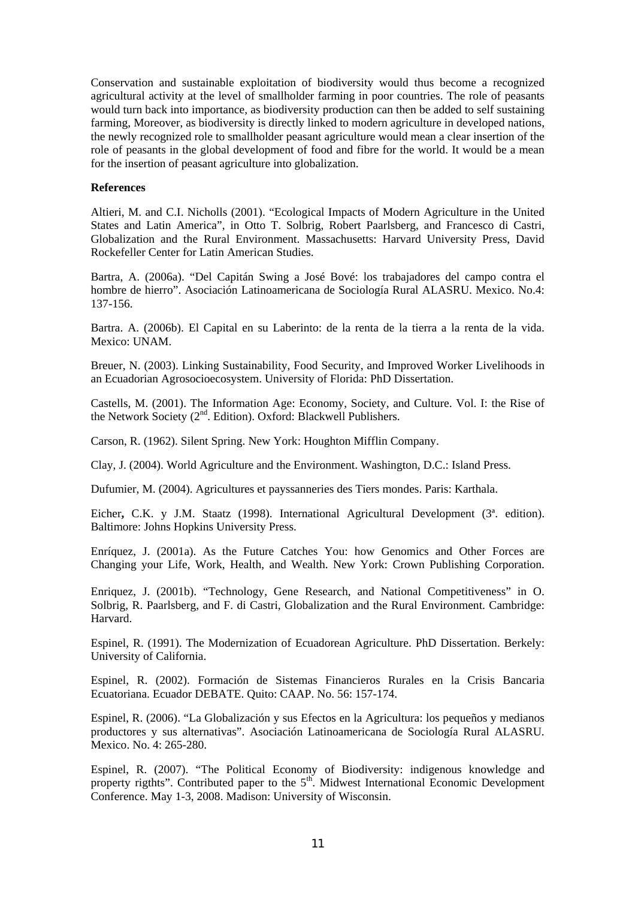Conservation and sustainable exploitation of biodiversity would thus become a recognized agricultural activity at the level of smallholder farming in poor countries. The role of peasants would turn back into importance, as biodiversity production can then be added to self sustaining farming, Moreover, as biodiversity is directly linked to modern agriculture in developed nations, the newly recognized role to smallholder peasant agriculture would mean a clear insertion of the role of peasants in the global development of food and fibre for the world. It would be a mean for the insertion of peasant agriculture into globalization.

#### **References**

Altieri, M. and C.I. Nicholls (2001). "Ecological Impacts of Modern Agriculture in the United States and Latin America", in Otto T. Solbrig, Robert Paarlsberg, and Francesco di Castri, Globalization and the Rural Environment. Massachusetts: Harvard University Press, David Rockefeller Center for Latin American Studies.

Bartra, A. (2006a). "Del Capitán Swing a José Bové: los trabajadores del campo contra el hombre de hierro". Asociación Latinoamericana de Sociología Rural ALASRU. Mexico. No.4: 137-156.

Bartra. A. (2006b). El Capital en su Laberinto: de la renta de la tierra a la renta de la vida. Mexico: UNAM.

Breuer, N. (2003). Linking Sustainability, Food Security, and Improved Worker Livelihoods in an Ecuadorian Agrosocioecosystem. University of Florida: PhD Dissertation.

Castells, M. (2001). The Information Age: Economy, Society, and Culture. Vol. I: the Rise of the Network Society (2<sup>nd</sup>. Edition). Oxford: Blackwell Publishers.

Carson, R. (1962). Silent Spring. New York: Houghton Mifflin Company.

Clay, J. (2004). World Agriculture and the Environment. Washington, D.C.: Island Press.

Dufumier, M. (2004). Agricultures et payssanneries des Tiers mondes. Paris: Karthala.

Eicher**,** C.K. y J.M. Staatz (1998). International Agricultural Development (3ª. edition). Baltimore: Johns Hopkins University Press.

Enríquez, J. (2001a). As the Future Catches You: how Genomics and Other Forces are Changing your Life, Work, Health, and Wealth. New York: Crown Publishing Corporation.

Enriquez, J. (2001b). "Technology, Gene Research, and National Competitiveness" in O. Solbrig, R. Paarlsberg, and F. di Castri, Globalization and the Rural Environment. Cambridge: Harvard.

Espinel, R. (1991). The Modernization of Ecuadorean Agriculture. PhD Dissertation. Berkely: University of California.

Espinel, R. (2002). Formación de Sistemas Financieros Rurales en la Crisis Bancaria Ecuatoriana. Ecuador DEBATE. Quito: CAAP. No. 56: 157-174.

Espinel, R. (2006). "La Globalización y sus Efectos en la Agricultura: los pequeños y medianos productores y sus alternativas". Asociación Latinoamericana de Sociología Rural ALASRU. Mexico. No. 4: 265-280.

Espinel, R. (2007). "The Political Economy of Biodiversity: indigenous knowledge and property rigthts". Contributed paper to the  $5<sup>th</sup>$ . Midwest International Economic Development Conference. May 1-3, 2008. Madison: University of Wisconsin.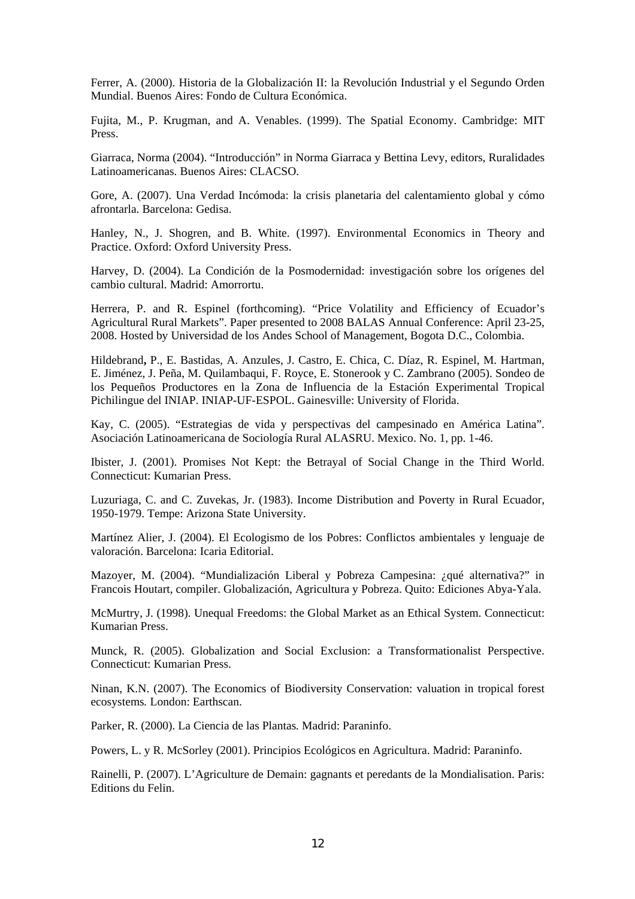Ferrer, A. (2000). Historia de la Globalización II: la Revolución Industrial y el Segundo Orden Mundial. Buenos Aires: Fondo de Cultura Económica.

Fujita, M., P. Krugman, and A. Venables. (1999). The Spatial Economy. Cambridge: MIT Press.

Giarraca, Norma (2004). "Introducción" in Norma Giarraca y Bettina Levy, editors, Ruralidades Latinoamericanas. Buenos Aires: CLACSO.

Gore, A. (2007). Una Verdad Incómoda: la crisis planetaria del calentamiento global y cómo afrontarla. Barcelona: Gedisa.

Hanley, N., J. Shogren, and B. White. (1997). Environmental Economics in Theory and Practice. Oxford: Oxford University Press.

Harvey, D. (2004). La Condición de la Posmodernidad: investigación sobre los orígenes del cambio cultural. Madrid: Amorrortu.

Herrera, P. and R. Espinel (forthcoming). "Price Volatility and Efficiency of Ecuador's Agricultural Rural Markets". Paper presented to 2008 BALAS Annual Conference: April 23-25, 2008. Hosted by Universidad de los Andes School of Management, Bogota D.C., Colombia.

Hildebrand**,** P., E. Bastidas, A. Anzules, J. Castro, E. Chica, C. Díaz, R. Espinel, M. Hartman, E. Jiménez, J. Peña, M. Quilambaqui, F. Royce, E. Stonerook y C. Zambrano (2005). Sondeo de los Pequeños Productores en la Zona de Influencia de la Estación Experimental Tropical Pichilingue del INIAP. INIAP-UF-ESPOL. Gainesville: University of Florida.

Kay, C. (2005). "Estrategias de vida y perspectivas del campesinado en América Latina". Asociación Latinoamericana de Sociología Rural ALASRU. Mexico. No. 1, pp. 1-46.

Ibister, J. (2001). Promises Not Kept: the Betrayal of Social Change in the Third World. Connecticut: Kumarian Press.

Luzuriaga, C. and C. Zuvekas, Jr. (1983). Income Distribution and Poverty in Rural Ecuador, 1950-1979. Tempe: Arizona State University.

Martínez Alier, J. (2004). El Ecologismo de los Pobres: Conflictos ambientales y lenguaje de valoración. Barcelona: Icaria Editorial.

Mazoyer, M. (2004). "Mundialización Liberal y Pobreza Campesina: ¿qué alternativa?" in Francois Houtart, compiler. Globalización, Agricultura y Pobreza. Quito: Ediciones Abya-Yala.

McMurtry, J. (1998). Unequal Freedoms: the Global Market as an Ethical System. Connecticut: Kumarian Press.

Munck, R. (2005). Globalization and Social Exclusion: a Transformationalist Perspective. Connecticut: Kumarian Press.

Ninan, K.N. (2007). The Economics of Biodiversity Conservation: valuation in tropical forest ecosystems*.* London: Earthscan.

Parker, R. (2000). La Ciencia de las Plantas*.* Madrid: Paraninfo.

Powers, L. y R. McSorley (2001). Principios Ecológicos en Agricultura. Madrid: Paraninfo.

Rainelli, P. (2007). L'Agriculture de Demain: gagnants et peredants de la Mondialisation. Paris: Editions du Felin.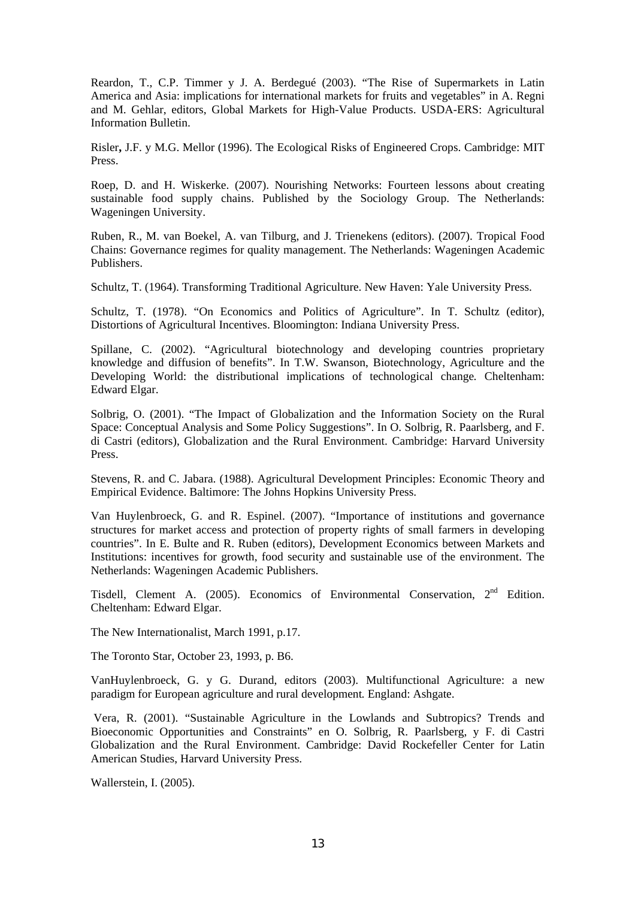Reardon, T., C.P. Timmer y J. A. Berdegué (2003). "The Rise of Supermarkets in Latin America and Asia: implications for international markets for fruits and vegetables" in A. Regni and M. Gehlar, editors, Global Markets for High-Value Products. USDA-ERS: Agricultural Information Bulletin.

Risler**,** J.F. y M.G. Mellor (1996). The Ecological Risks of Engineered Crops. Cambridge: MIT Press.

Roep, D. and H. Wiskerke. (2007). Nourishing Networks: Fourteen lessons about creating sustainable food supply chains. Published by the Sociology Group. The Netherlands: Wageningen University.

Ruben, R., M. van Boekel, A. van Tilburg, and J. Trienekens (editors). (2007). Tropical Food Chains: Governance regimes for quality management. The Netherlands: Wageningen Academic Publishers.

Schultz, T. (1964). Transforming Traditional Agriculture. New Haven: Yale University Press.

Schultz, T. (1978). "On Economics and Politics of Agriculture". In T. Schultz (editor), Distortions of Agricultural Incentives. Bloomington: Indiana University Press.

Spillane, C. (2002). "Agricultural biotechnology and developing countries proprietary knowledge and diffusion of benefits". In T.W. Swanson, Biotechnology, Agriculture and the Developing World: the distributional implications of technological change*.* Cheltenham: Edward Elgar.

Solbrig, O. (2001). "The Impact of Globalization and the Information Society on the Rural Space: Conceptual Analysis and Some Policy Suggestions". In O. Solbrig, R. Paarlsberg, and F. di Castri (editors), Globalization and the Rural Environment. Cambridge: Harvard University Press.

Stevens, R. and C. Jabara. (1988). Agricultural Development Principles: Economic Theory and Empirical Evidence. Baltimore: The Johns Hopkins University Press.

Van Huylenbroeck, G. and R. Espinel. (2007). "Importance of institutions and governance structures for market access and protection of property rights of small farmers in developing countries". In E. Bulte and R. Ruben (editors), Development Economics between Markets and Institutions: incentives for growth, food security and sustainable use of the environment. The Netherlands: Wageningen Academic Publishers.

Tisdell, Clement A. (2005). Economics of Environmental Conservation, 2<sup>nd</sup> Edition. Cheltenham: Edward Elgar.

The New Internationalist, March 1991, p.17.

The Toronto Star, October 23, 1993, p. B6.

VanHuylenbroeck, G. y G. Durand, editors (2003). Multifunctional Agriculture: a new paradigm for European agriculture and rural development*.* England: Ashgate.

 Vera, R. (2001). "Sustainable Agriculture in the Lowlands and Subtropics? Trends and Bioeconomic Opportunities and Constraints" en O. Solbrig, R. Paarlsberg, y F. di Castri Globalization and the Rural Environment. Cambridge: David Rockefeller Center for Latin American Studies, Harvard University Press.

Wallerstein, I. (2005).